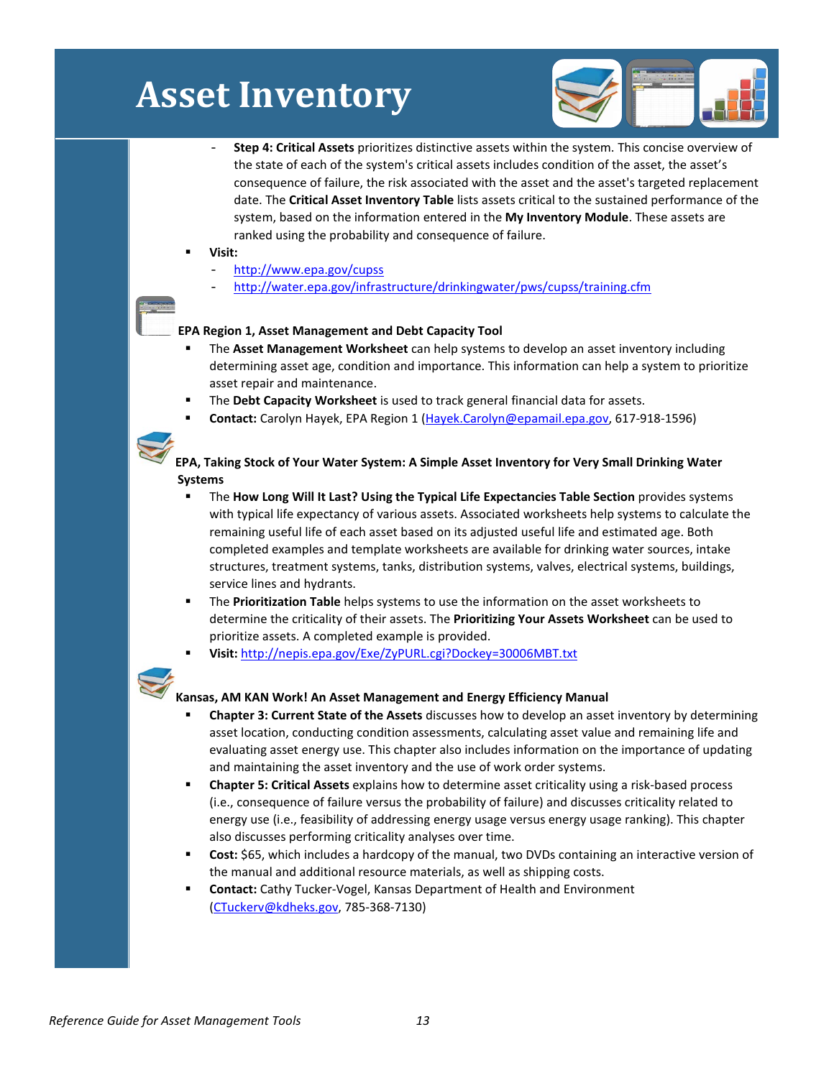# **Asset Inventory**



- **Step 4: Critical Assets** prioritizes distinctive assets within the system. This concise overview of the state of each of the system's critical assets includes condition of the asset, the asset's consequence of failure, the risk associated with the asset and the asset's targeted replacement date. The **Critical Asset Inventory Table** lists assets critical to the sustained performance of the system, based on the information entered in the **My Inventory Module**. These assets are ranked using the probability and consequence of failure.
- **Visit:** 
	- http:/[/www.epa.gov/cupss](http://www.epa.gov/cupss)
	- http://water.epa.gov/infrastructure/drinkingwater/pws/cupss/training.cfm

### **EPA Region 1, Asset Management and Debt Capacity Tool**

- The **Asset Management Worksheet** can help systems to develop an asset inventory including determining asset age, condition and importance. This information can help a system to prioritize asset repair and maintenance.
- The **Debt Capacity Worksheet** is used to track general financial data for assets.
- **Contact:** Carolyn Hayek, EPA Region 1 [\(Hayek.Carolyn@epamail.epa.gov,](mailto:Hayek.Carolyn@epamail.epa.gov) 617-918-1596)



- The **How Long Will It Last? Using the Typical Life Expectancies Table Section** provides systems with typical life expectancy of various assets. Associated worksheets help systems to calculate the remaining useful life of each asset based on its adjusted useful life and estimated age. Both completed examples and template worksheets are available for drinking water sources, intake structures, treatment systems, tanks, distribution systems, valves, electrical systems, buildings, service lines and hydrants.
- The **Prioritization Table** helps systems to use the information on the asset worksheets to determine the criticality of their assets. The **Prioritizing Your Assets Worksheet** can be used to prioritize assets. A completed example is provided.
- **Visit:** <http://nepis.epa.gov/Exe/ZyPURL.cgi?Dockey=30006MBT.txt>



### **Kansas, AM KAN Work! An Asset Management and Energy Efficiency Manual**

- **Chapter 3: Current State of the Assets** discusses how to develop an asset inventory by determining asset location, conducting condition assessments, calculating asset value and remaining life and evaluating asset energy use. This chapter also includes information on the importance of updating and maintaining the asset inventory and the use of work order systems.
- **Chapter 5: Critical Assets** explains how to determine asset criticality using a risk-based process (i.e., consequence of failure versus the probability of failure) and discusses criticality related to energy use (i.e., feasibility of addressing energy usage versus energy usage ranking). This chapter also discusses performing criticality analyses over time.
- **Cost:** \$65, which includes a hardcopy of the manual, two DVDs containing an interactive version of the manual and additional resource materials, as well as shipping costs.
- **Contact:** Cathy Tucker-Vogel, Kansas Department of Health and Environment [\(CTuckerv@kdheks.gov,](mailto:CTuckerv@kdheks.gov) 785-368-7130)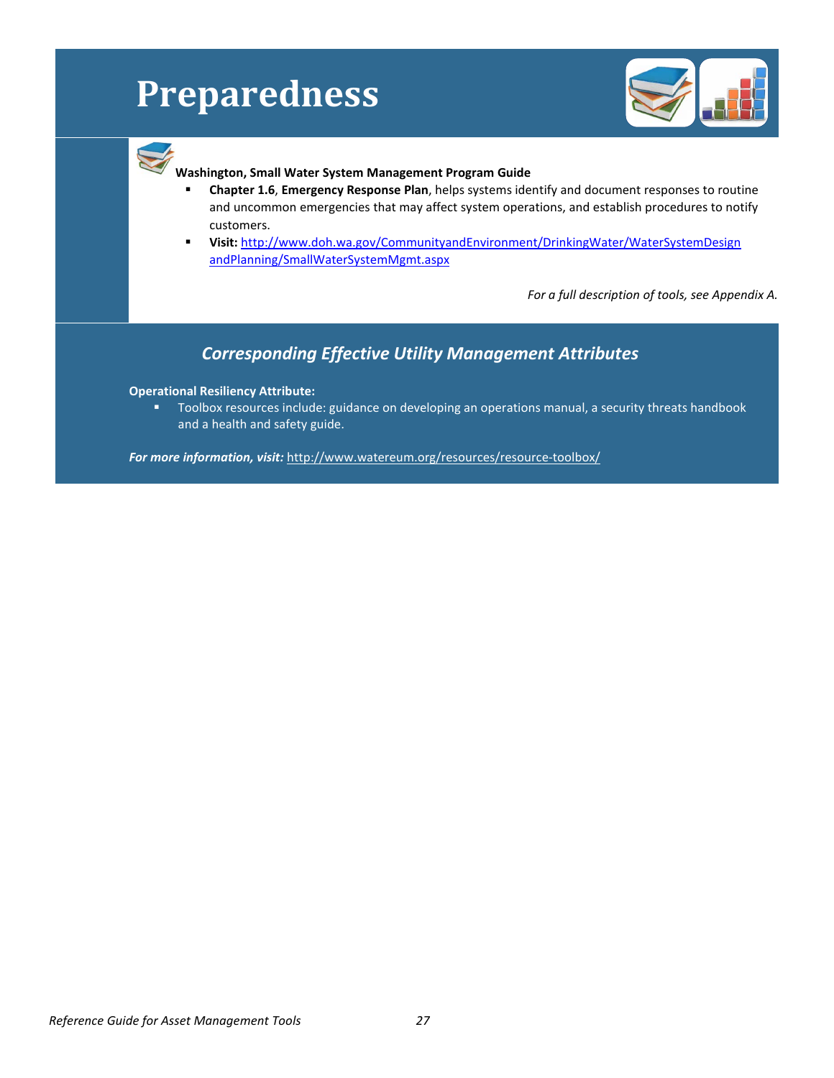# **Preparedness**



### **Washington, Small Water System Management Program Guide**

- **Chapter 1.6**, **Emergency Response Plan**, helps systems identify and document responses to routine and uncommon emergencies that may affect system operations, and establish procedures to notify customers.
- **Visit:** [http://www.doh.wa.gov/CommunityandEnvironment/DrinkingWater/WaterSystemDesign](http://www.doh.wa.gov/CommunityandEnvironment/DrinkingWater/WaterSystemDesignandPlanning/SmallWaterSystemMgmt.aspx) [andPlanning/SmallWaterSystemMgmt.aspx](http://www.doh.wa.gov/CommunityandEnvironment/DrinkingWater/WaterSystemDesignandPlanning/SmallWaterSystemMgmt.aspx)

*For a full description of tools, see Appendix A.*

### *Corresponding Effective Utility Management Attributes*

### **Operational Resiliency Attribute:**

**Toolbox resources include: guidance on developing an operations manual, a security threats handbook** and a health and safety guide.

*For more information, visit:* http://www.watereum.org/resources/resource-toolbox/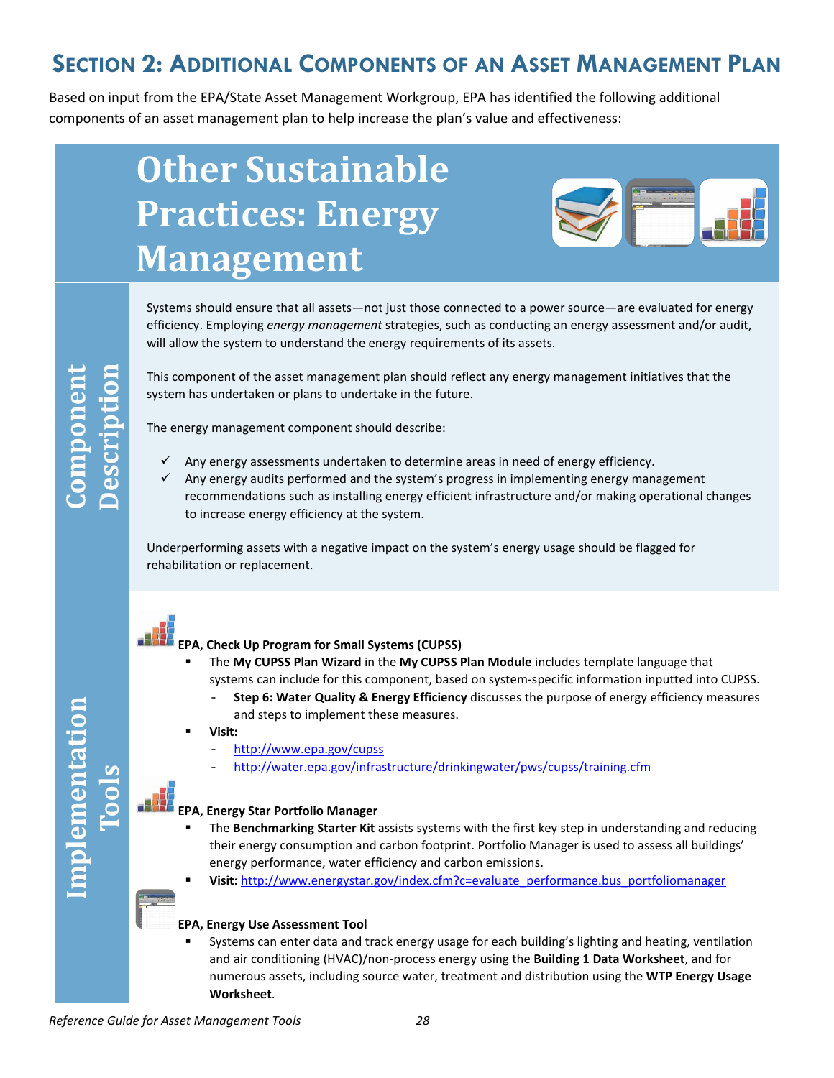## **SECTION 2: ADDITIONAL COMPONENTS OF AN ASSET MANAGEMENT PLAN**

Based on input from the EPA/State Asset Management Workgroup, EPA has identified the following additional components of an asset management plan to help increase the plan's value and effectiveness:

# **Other Sustainable Practices: Energy Management**



Systems should ensure that all assets—not just those connected to a power source—are evaluated for energy efficiency. Employing *energy management* strategies, such as conducting an energy assessment and/or audit, will allow the system to understand the energy requirements of its assets.

Implementation

This component of the asset management plan should reflect any energy management initiatives that the system has undertaken or plans to undertake in the future.

The energy management component should describe:

- Any energy assessments undertaken to determine areas in need of energy efficiency.
- $\checkmark$  Any energy audits performed and the system's progress in implementing energy management recommendations such as installing energy efficient infrastructure and/or making operational changes to increase energy efficiency at the system.

Underperforming assets with a negative impact on the system's energy usage should be flagged for rehabilitation or replacement.



### **EPA, Check Up Program for Small Systems (CUPSS)**

- The **My CUPSS Plan Wizard** in the **My CUPSS Plan Module** includes template language that systems can include for this component, based on system-specific information inputted into CUPSS.
	- **Step 6: Water Quality & Energy Efficiency** discusses the purpose of energy efficiency measures and steps to implement these measures.
- **Visit:**
	- http:/[/www.epa.gov/cupss](http://water.epa.gov/infrastructure/drinkingwater/pws/cupss/index.cfm)
	- <http://water.epa.gov/infrastructure/drinkingwater/pws/cupss/training.cfm>

#### **EPA, Energy Star Portfolio Manager**

- The **Benchmarking Starter Kit** assists systems with the first key step in understanding and reducing their energy consumption and carbon footprint. Portfolio Manager is used to assess all buildings' energy performance, water efficiency and carbon emissions.
- **Visit:** [http://www.energystar.gov/index.cfm?c=evaluate\\_performance.bus\\_portfoliomanager](http://www.energystar.gov/index.cfm?c=evaluate_performance.bus_portfoliomanager)

### **EPA, Energy Use Assessment Tool**

 Systems can enter data and track energy usage for each building's lighting and heating, ventilation and air conditioning (HVAC)/non-process energy using the **Building 1 Data Worksheet**, and for numerous assets, including source water, treatment and distribution using the **WTP Energy Usage Worksheet**.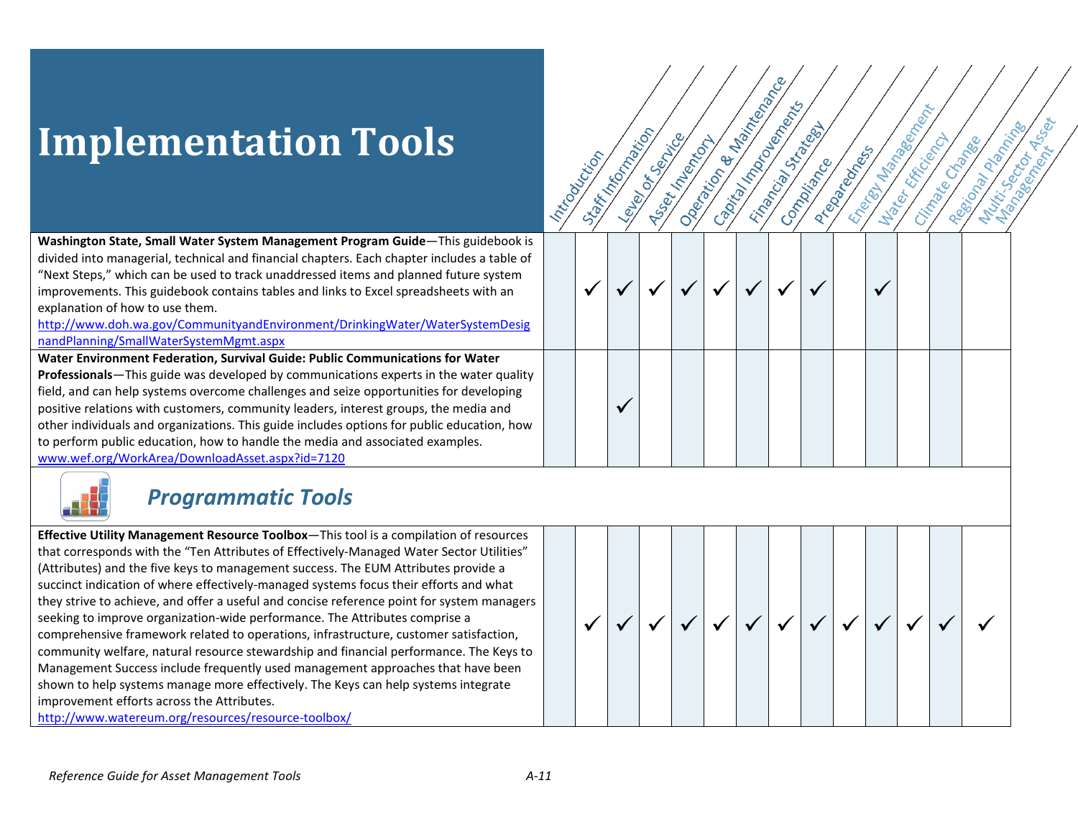andPlanning/SmallWaterSystemMgmt.aspx

For a full description of tools, see Appendix A.

## **Corresponding Effective Utility Management Attributes**

### OR

Toolbox resources include: guidance on developing an operations manual, a security threats handbook and a health and safety guide.

For more information, visit: http://www.watereum.org/resources/resource-toolbox/

 $\overline{A}$